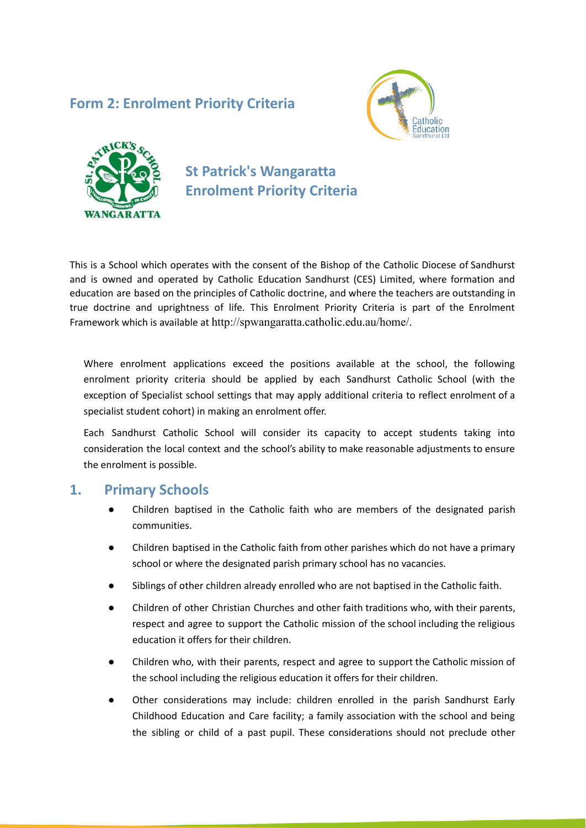## **Form 2: Enrolment Priority Criteria**





## **St Patrick's Wangaratta Enrolment Priority Criteria**

This is a School which operates with the consent of the Bishop of the Catholic Diocese of Sandhurst and is owned and operated by Catholic Education Sandhurst (CES) Limited, where formation and education are based on the principles of Catholic doctrine, and where the teachers are outstanding in true doctrine and uprightness of life. This Enrolment Priority Criteria is part of the Enrolment Framework which is available at http://spwangaratta.catholic.edu.au/home/.

Where enrolment applications exceed the positions available at the school, the following enrolment priority criteria should be applied by each Sandhurst Catholic School (with the exception of Specialist school settings that may apply additional criteria to reflect enrolment of a specialist student cohort) in making an enrolment offer.

Each Sandhurst Catholic School will consider its capacity to accept students taking into consideration the local context and the school's ability to make reasonable adjustments to ensure the enrolment is possible.

## **1. Primary Schools**

- Children baptised in the Catholic faith who are members of the designated parish communities.
- Children baptised in the Catholic faith from other parishes which do not have a primary school or where the designated parish primary school has no vacancies.
- Siblings of other children already enrolled who are not baptised in the Catholic faith.
- Children of other Christian Churches and other faith traditions who, with their parents, respect and agree to support the Catholic mission of the school including the religious education it offers for their children.
- Children who, with their parents, respect and agree to support the Catholic mission of the school including the religious education it offers for their children.
- Other considerations may include: children enrolled in the parish Sandhurst Early Childhood Education and Care facility; a family association with the school and being the sibling or child of a past pupil. These considerations should not preclude other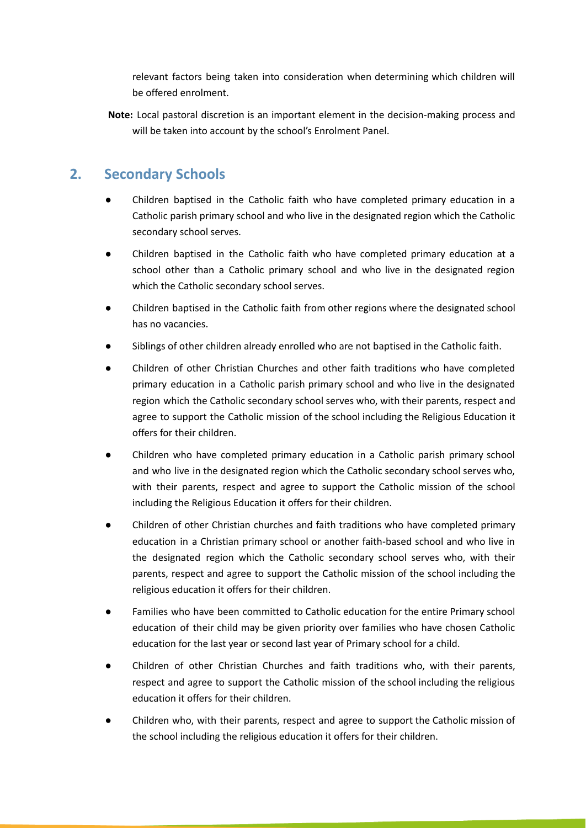relevant factors being taken into consideration when determining which children will be offered enrolment.

**Note:** Local pastoral discretion is an important element in the decision-making process and will be taken into account by the school's Enrolment Panel.

## **2. Secondary Schools**

- Children baptised in the Catholic faith who have completed primary education in a Catholic parish primary school and who live in the designated region which the Catholic secondary school serves.
- Children baptised in the Catholic faith who have completed primary education at a school other than a Catholic primary school and who live in the designated region which the Catholic secondary school serves.
- Children baptised in the Catholic faith from other regions where the designated school has no vacancies.
- Siblings of other children already enrolled who are not baptised in the Catholic faith.
- Children of other Christian Churches and other faith traditions who have completed primary education in a Catholic parish primary school and who live in the designated region which the Catholic secondary school serves who, with their parents, respect and agree to support the Catholic mission of the school including the Religious Education it offers for their children.
- Children who have completed primary education in a Catholic parish primary school and who live in the designated region which the Catholic secondary school serves who, with their parents, respect and agree to support the Catholic mission of the school including the Religious Education it offers for their children.
- Children of other Christian churches and faith traditions who have completed primary education in a Christian primary school or another faith-based school and who live in the designated region which the Catholic secondary school serves who, with their parents, respect and agree to support the Catholic mission of the school including the religious education it offers for their children.
- Families who have been committed to Catholic education for the entire Primary school education of their child may be given priority over families who have chosen Catholic education for the last year or second last year of Primary school for a child.
- Children of other Christian Churches and faith traditions who, with their parents, respect and agree to support the Catholic mission of the school including the religious education it offers for their children.
- Children who, with their parents, respect and agree to support the Catholic mission of the school including the religious education it offers for their children.